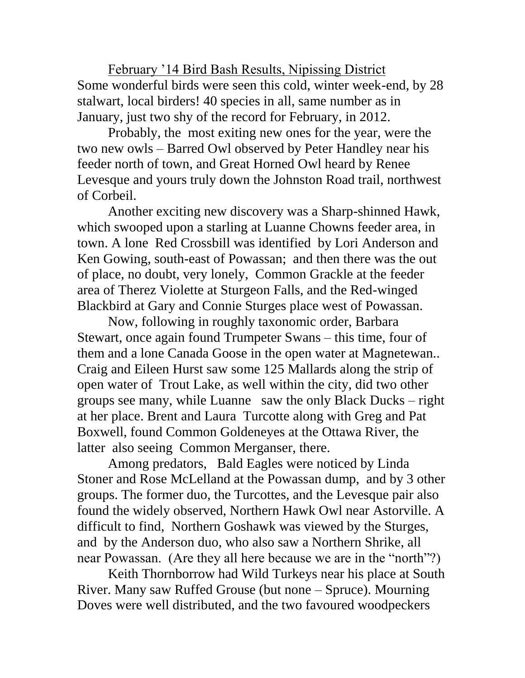February '14 Bird Bash Results, Nipissing District Some wonderful birds were seen this cold, winter week-end, by 28 stalwart, local birders! 40 species in all, same number as in January, just two shy of the record for February, in 2012.

Probably, the most exiting new ones for the year, were the two new owls – Barred Owl observed by Peter Handley near his feeder north of town, and Great Horned Owl heard by Renee Levesque and yours truly down the Johnston Road trail, northwest of Corbeil.

Another exciting new discovery was a Sharp-shinned Hawk, which swooped upon a starling at Luanne Chowns feeder area, in town. A lone Red Crossbill was identified by Lori Anderson and Ken Gowing, south-east of Powassan; and then there was the out of place, no doubt, very lonely, Common Grackle at the feeder area of Therez Violette at Sturgeon Falls, and the Red-winged Blackbird at Gary and Connie Sturges place west of Powassan.

Now, following in roughly taxonomic order, Barbara Stewart, once again found Trumpeter Swans – this time, four of them and a lone Canada Goose in the open water at Magnetewan.. Craig and Eileen Hurst saw some 125 Mallards along the strip of open water of Trout Lake, as well within the city, did two other groups see many, while Luanne saw the only Black Ducks – right at her place. Brent and Laura Turcotte along with Greg and Pat Boxwell, found Common Goldeneyes at the Ottawa River, the latter also seeing Common Merganser, there.

Among predators, Bald Eagles were noticed by Linda Stoner and Rose McLelland at the Powassan dump, and by 3 other groups. The former duo, the Turcottes, and the Levesque pair also found the widely observed, Northern Hawk Owl near Astorville. A difficult to find, Northern Goshawk was viewed by the Sturges, and by the Anderson duo, who also saw a Northern Shrike, all near Powassan. (Are they all here because we are in the "north"?)

Keith Thornborrow had Wild Turkeys near his place at South River. Many saw Ruffed Grouse (but none – Spruce). Mourning Doves were well distributed, and the two favoured woodpeckers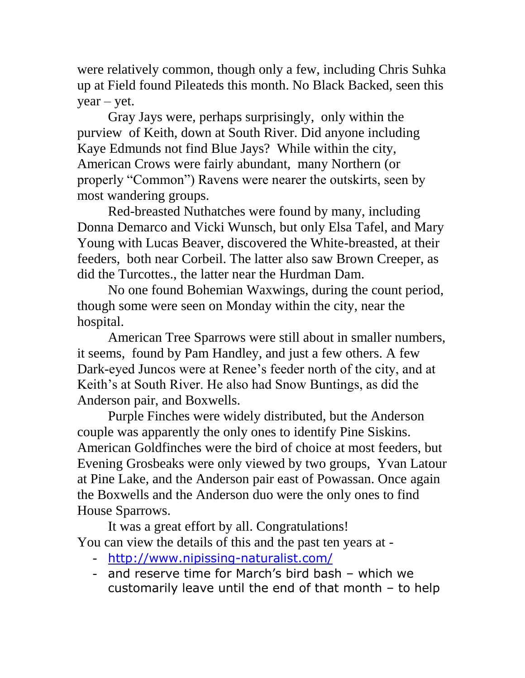were relatively common, though only a few, including Chris Suhka up at Field found Pileateds this month. No Black Backed, seen this  $year - yet.$ 

Gray Jays were, perhaps surprisingly, only within the purview of Keith, down at South River. Did anyone including Kaye Edmunds not find Blue Jays? While within the city, American Crows were fairly abundant, many Northern (or properly "Common") Ravens were nearer the outskirts, seen by most wandering groups.

Red-breasted Nuthatches were found by many, including Donna Demarco and Vicki Wunsch, but only Elsa Tafel, and Mary Young with Lucas Beaver, discovered the White-breasted, at their feeders, both near Corbeil. The latter also saw Brown Creeper, as did the Turcottes., the latter near the Hurdman Dam.

No one found Bohemian Waxwings, during the count period, though some were seen on Monday within the city, near the hospital.

American Tree Sparrows were still about in smaller numbers, it seems, found by Pam Handley, and just a few others. A few Dark-eyed Juncos were at Renee's feeder north of the city, and at Keith's at South River. He also had Snow Buntings, as did the Anderson pair, and Boxwells.

Purple Finches were widely distributed, but the Anderson couple was apparently the only ones to identify Pine Siskins. American Goldfinches were the bird of choice at most feeders, but Evening Grosbeaks were only viewed by two groups, Yvan Latour at Pine Lake, and the Anderson pair east of Powassan. Once again the Boxwells and the Anderson duo were the only ones to find House Sparrows.

It was a great effort by all. Congratulations! You can view the details of this and the past ten years at -

- <http://www.nipissing-naturalist.com/>
- and reserve time for March's bird bash which we customarily leave until the end of that month – to help